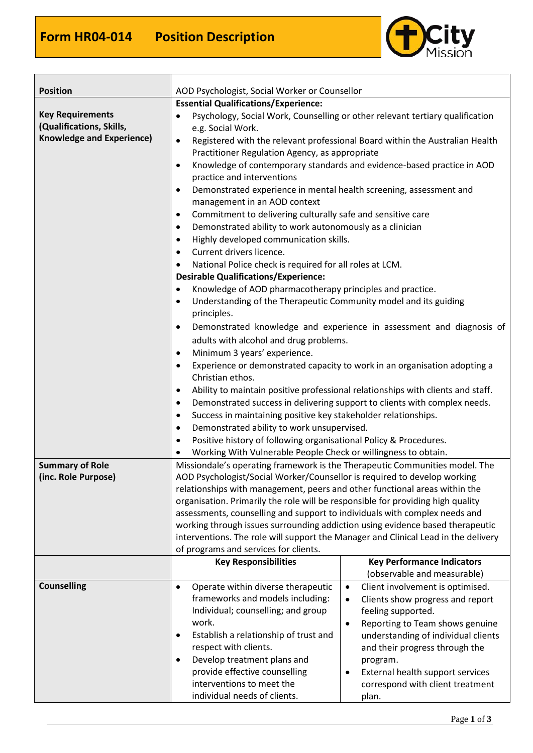Г



| <b>Position</b>                                     | AOD Psychologist, Social Worker or Counsellor                                                                                                               |                                                                                 |
|-----------------------------------------------------|-------------------------------------------------------------------------------------------------------------------------------------------------------------|---------------------------------------------------------------------------------|
|                                                     | <b>Essential Qualifications/Experience:</b>                                                                                                                 |                                                                                 |
| <b>Key Requirements</b><br>(Qualifications, Skills, | ٠<br>e.g. Social Work.                                                                                                                                      | Psychology, Social Work, Counselling or other relevant tertiary qualification   |
| <b>Knowledge and Experience)</b>                    | $\bullet$                                                                                                                                                   | Registered with the relevant professional Board within the Australian Health    |
|                                                     | Practitioner Regulation Agency, as appropriate                                                                                                              |                                                                                 |
|                                                     | $\bullet$                                                                                                                                                   | Knowledge of contemporary standards and evidence-based practice in AOD          |
|                                                     | practice and interventions                                                                                                                                  |                                                                                 |
|                                                     | Demonstrated experience in mental health screening, assessment and<br>$\bullet$                                                                             |                                                                                 |
|                                                     | management in an AOD context                                                                                                                                |                                                                                 |
|                                                     | Commitment to delivering culturally safe and sensitive care<br>$\bullet$                                                                                    |                                                                                 |
|                                                     | Demonstrated ability to work autonomously as a clinician<br>$\bullet$                                                                                       |                                                                                 |
|                                                     | Highly developed communication skills.<br>$\bullet$                                                                                                         |                                                                                 |
|                                                     | Current drivers licence.<br>$\bullet$                                                                                                                       |                                                                                 |
|                                                     | National Police check is required for all roles at LCM.<br>$\bullet$                                                                                        |                                                                                 |
|                                                     | <b>Desirable Qualifications/Experience:</b>                                                                                                                 |                                                                                 |
|                                                     | Knowledge of AOD pharmacotherapy principles and practice.<br>$\bullet$                                                                                      |                                                                                 |
|                                                     | Understanding of the Therapeutic Community model and its guiding<br>٠<br>principles.                                                                        |                                                                                 |
|                                                     | $\bullet$                                                                                                                                                   | Demonstrated knowledge and experience in assessment and diagnosis of            |
|                                                     | adults with alcohol and drug problems.                                                                                                                      |                                                                                 |
|                                                     | Minimum 3 years' experience.<br>$\bullet$                                                                                                                   |                                                                                 |
|                                                     | $\bullet$                                                                                                                                                   | Experience or demonstrated capacity to work in an organisation adopting a       |
|                                                     | Christian ethos.                                                                                                                                            |                                                                                 |
|                                                     | $\bullet$                                                                                                                                                   | Ability to maintain positive professional relationships with clients and staff. |
|                                                     | $\bullet$                                                                                                                                                   | Demonstrated success in delivering support to clients with complex needs.       |
|                                                     | Success in maintaining positive key stakeholder relationships.<br>$\bullet$                                                                                 |                                                                                 |
|                                                     | Demonstrated ability to work unsupervised.<br>٠                                                                                                             |                                                                                 |
|                                                     | Positive history of following organisational Policy & Procedures.<br>$\bullet$                                                                              |                                                                                 |
|                                                     | Working With Vulnerable People Check or willingness to obtain.                                                                                              |                                                                                 |
| <b>Summary of Role</b>                              | Missiondale's operating framework is the Therapeutic Communities model. The                                                                                 |                                                                                 |
| (inc. Role Purpose)                                 | AOD Psychologist/Social Worker/Counsellor is required to develop working                                                                                    |                                                                                 |
|                                                     | relationships with management, peers and other functional areas within the                                                                                  |                                                                                 |
|                                                     | organisation. Primarily the role will be responsible for providing high quality                                                                             |                                                                                 |
|                                                     | assessments, counselling and support to individuals with complex needs and<br>working through issues surrounding addiction using evidence based therapeutic |                                                                                 |
|                                                     | interventions. The role will support the Manager and Clinical Lead in the delivery                                                                          |                                                                                 |
|                                                     | of programs and services for clients.                                                                                                                       |                                                                                 |
|                                                     | <b>Key Responsibilities</b>                                                                                                                                 | <b>Key Performance Indicators</b>                                               |
|                                                     |                                                                                                                                                             | (observable and measurable)                                                     |
| <b>Counselling</b>                                  | Operate within diverse therapeutic<br>$\bullet$                                                                                                             | Client involvement is optimised.<br>$\bullet$                                   |
|                                                     | frameworks and models including:                                                                                                                            | Clients show progress and report<br>$\bullet$                                   |
|                                                     | Individual; counselling; and group                                                                                                                          | feeling supported.                                                              |
|                                                     | work.                                                                                                                                                       | Reporting to Team shows genuine<br>$\bullet$                                    |
|                                                     | Establish a relationship of trust and<br>$\bullet$                                                                                                          | understanding of individual clients                                             |
|                                                     | respect with clients.                                                                                                                                       | and their progress through the                                                  |
|                                                     | Develop treatment plans and<br>$\bullet$                                                                                                                    | program.                                                                        |
|                                                     | provide effective counselling                                                                                                                               | External health support services                                                |
|                                                     | interventions to meet the                                                                                                                                   | correspond with client treatment                                                |
|                                                     | individual needs of clients.                                                                                                                                | plan.                                                                           |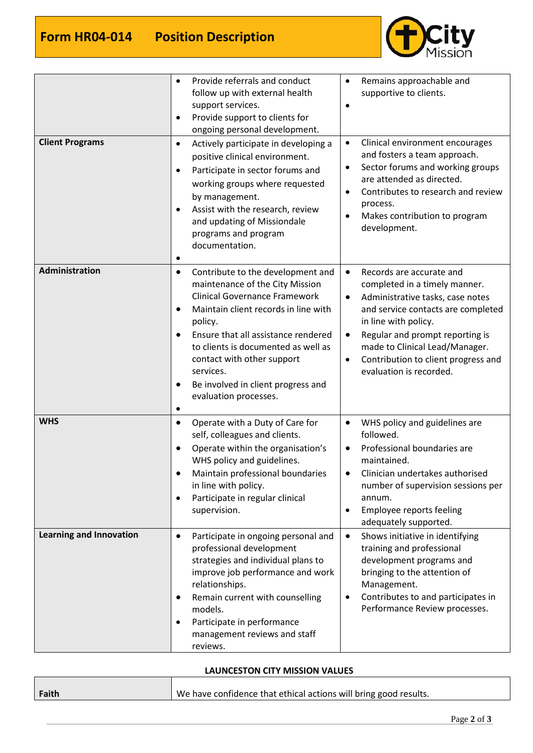

| <b>Client Programs</b>                       | Provide referrals and conduct<br>$\bullet$<br>follow up with external health<br>support services.<br>Provide support to clients for<br>$\bullet$<br>ongoing personal development.<br>Actively participate in developing a<br>$\bullet$<br>positive clinical environment.<br>Participate in sector forums and<br>$\bullet$<br>working groups where requested<br>by management.<br>Assist with the research, review<br>$\bullet$<br>and updating of Missiondale<br>programs and program<br>documentation.<br>٠          | Remains approachable and<br>$\bullet$<br>supportive to clients.<br>Clinical environment encourages<br>$\bullet$<br>and fosters a team approach.<br>Sector forums and working groups<br>$\bullet$<br>are attended as directed.<br>Contributes to research and review<br>process.<br>Makes contribution to program<br>$\bullet$<br>development.                                                                                                         |
|----------------------------------------------|-----------------------------------------------------------------------------------------------------------------------------------------------------------------------------------------------------------------------------------------------------------------------------------------------------------------------------------------------------------------------------------------------------------------------------------------------------------------------------------------------------------------------|-------------------------------------------------------------------------------------------------------------------------------------------------------------------------------------------------------------------------------------------------------------------------------------------------------------------------------------------------------------------------------------------------------------------------------------------------------|
| Administration                               | Contribute to the development and<br>$\bullet$<br>maintenance of the City Mission<br><b>Clinical Governance Framework</b><br>Maintain client records in line with<br>$\bullet$<br>policy.<br>Ensure that all assistance rendered<br>$\bullet$<br>to clients is documented as well as<br>contact with other support<br>services.<br>Be involved in client progress and<br>$\bullet$<br>evaluation processes.<br>$\bullet$                                                                                              | Records are accurate and<br>$\bullet$<br>completed in a timely manner.<br>Administrative tasks, case notes<br>$\bullet$<br>and service contacts are completed<br>in line with policy.<br>Regular and prompt reporting is<br>$\bullet$<br>made to Clinical Lead/Manager.<br>Contribution to client progress and<br>evaluation is recorded.                                                                                                             |
| <b>WHS</b><br><b>Learning and Innovation</b> | Operate with a Duty of Care for<br>$\bullet$<br>self, colleagues and clients.<br>Operate within the organisation's<br>$\bullet$<br>WHS policy and guidelines.<br>Maintain professional boundaries<br>in line with policy.<br>Participate in regular clinical<br>$\bullet$<br>supervision.<br>Participate in ongoing personal and<br>$\bullet$<br>professional development<br>strategies and individual plans to<br>improve job performance and work<br>relationships.<br>Remain current with counselling<br>$\bullet$ | WHS policy and guidelines are<br>$\bullet$<br>followed.<br>Professional boundaries are<br>maintained.<br>Clinician undertakes authorised<br>number of supervision sessions per<br>annum.<br>Employee reports feeling<br>$\bullet$<br>adequately supported.<br>Shows initiative in identifying<br>٠<br>training and professional<br>development programs and<br>bringing to the attention of<br>Management.<br>Contributes to and participates in<br>٠ |
|                                              | models.<br>Participate in performance<br>$\bullet$<br>management reviews and staff<br>reviews.                                                                                                                                                                                                                                                                                                                                                                                                                        | Performance Review processes.                                                                                                                                                                                                                                                                                                                                                                                                                         |

## **LAUNCESTON CITY MISSION VALUES**

| Faith | We have confidence that ethical actions will bring good results. |
|-------|------------------------------------------------------------------|
|       |                                                                  |

 $\overline{\phantom{0}}$